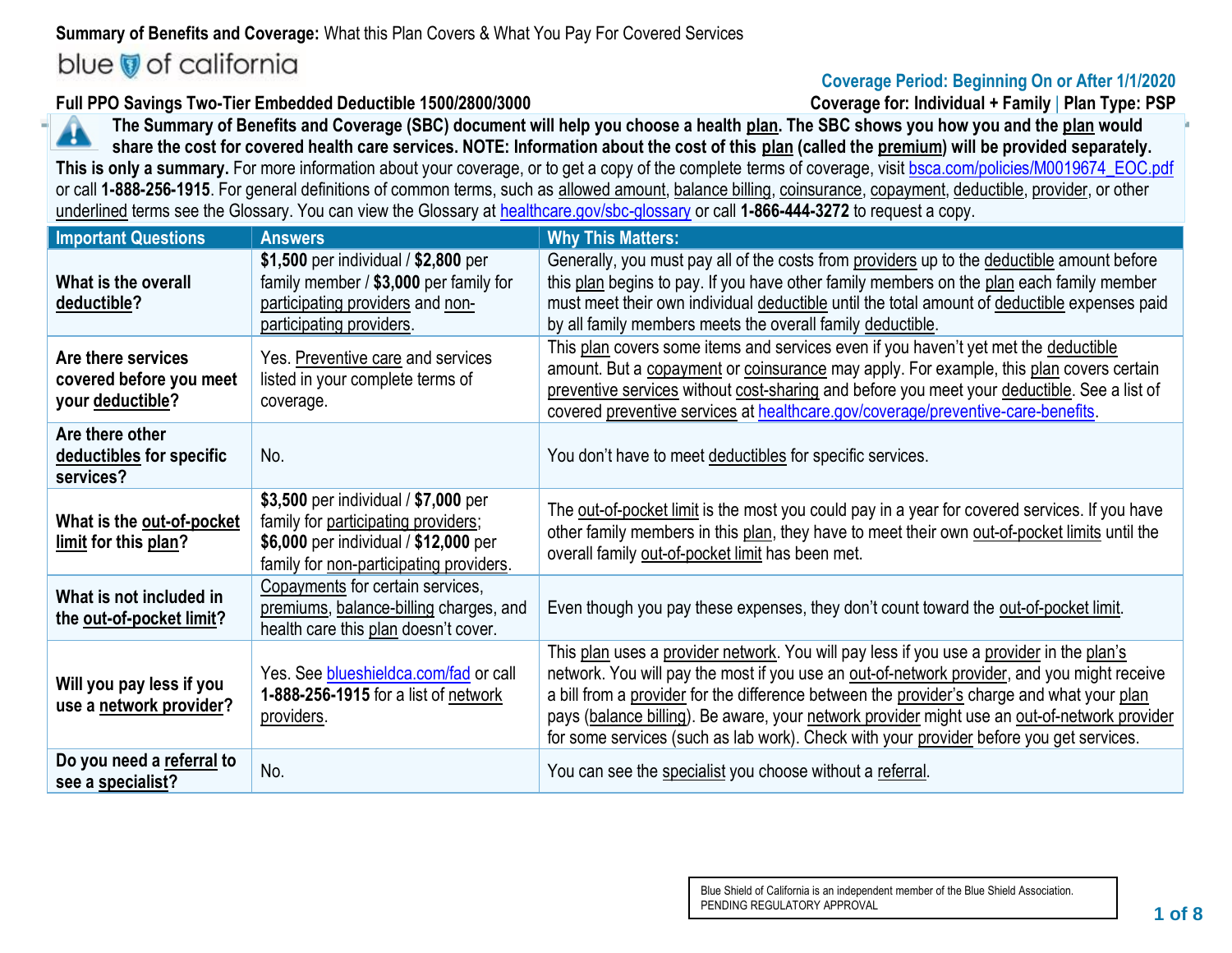## **Summary of Benefits and Coverage:** What this Plan Covers & What You Pay For Covered Services blue of california

### **Coverage Period: Beginning On or After 1/1/2020**

**Full PPO Savings Two-Tier Embedded Deductible 1500/2800/3000 Coverage for: Individual + Family** | **Plan Type: PSP**

**The Summary of Benefits and Coverage (SBC) document will help you choose a health plan. The SBC shows you how you and the plan would**  A **share the cost for covered health care services. NOTE: Information about the cost of this plan (called the premium) will be provided separately. This is only a summary.** For more information about your coverage, or to get a copy of the complete terms of coverage, visit [bsca.com/policies/M0019674\\_EOC.pdf](http://bsca.com/policies/M0019674_EOC.pdf) or call **1-888-256-1915**. For general definitions of common terms, such as allowed amount, balance billing, coinsurance, copayment, deductible, provider, or other underlined terms see the Glossary. You can view the Glossary at [healthcare.gov/sbc-glossary](http://www.healthcare.gov/sbc-glossary) or call **1-866-444-3272** to request a copy.

| <b>Important Questions</b>                                        | <b>Answers</b>                                                                                                                                                  | <b>Why This Matters:</b>                                                                                                                                                                                                                                                                                                                                                                                                                                                         |
|-------------------------------------------------------------------|-----------------------------------------------------------------------------------------------------------------------------------------------------------------|----------------------------------------------------------------------------------------------------------------------------------------------------------------------------------------------------------------------------------------------------------------------------------------------------------------------------------------------------------------------------------------------------------------------------------------------------------------------------------|
| What is the overall<br>deductible?                                | \$1,500 per individual / \$2,800 per<br>family member / \$3,000 per family for<br>participating providers and non-<br>participating providers.                  | Generally, you must pay all of the costs from providers up to the deductible amount before<br>this plan begins to pay. If you have other family members on the plan each family member<br>must meet their own individual deductible until the total amount of deductible expenses paid<br>by all family members meets the overall family deductible.                                                                                                                             |
| Are there services<br>covered before you meet<br>your deductible? | Yes. Preventive care and services<br>listed in your complete terms of<br>coverage.                                                                              | This plan covers some items and services even if you haven't yet met the deductible<br>amount. But a copayment or coinsurance may apply. For example, this plan covers certain<br>preventive services without cost-sharing and before you meet your deductible. See a list of<br>covered preventive services at healthcare.gov/coverage/preventive-care-benefits.                                                                                                                |
| Are there other<br>deductibles for specific<br>services?          | No.                                                                                                                                                             | You don't have to meet deductibles for specific services.                                                                                                                                                                                                                                                                                                                                                                                                                        |
| What is the out-of-pocket<br>limit for this plan?                 | \$3,500 per individual / \$7,000 per<br>family for participating providers;<br>\$6,000 per individual / \$12,000 per<br>family for non-participating providers. | The out-of-pocket limit is the most you could pay in a year for covered services. If you have<br>other family members in this plan, they have to meet their own out-of-pocket limits until the<br>overall family out-of-pocket limit has been met.                                                                                                                                                                                                                               |
| What is not included in<br>the out-of-pocket limit?               | Copayments for certain services,<br>premiums, balance-billing charges, and<br>health care this plan doesn't cover.                                              | Even though you pay these expenses, they don't count toward the out-of-pocket limit.                                                                                                                                                                                                                                                                                                                                                                                             |
| Will you pay less if you<br>use a network provider?               | Yes. See blueshieldca.com/fad or call<br>1-888-256-1915 for a list of network<br>providers.                                                                     | This plan uses a provider network. You will pay less if you use a provider in the plan's<br>network. You will pay the most if you use an out-of-network provider, and you might receive<br>a bill from a provider for the difference between the provider's charge and what your plan<br>pays (balance billing). Be aware, your network provider might use an out-of-network provider<br>for some services (such as lab work). Check with your provider before you get services. |
| Do you need a referral to<br>see a specialist?                    | No.                                                                                                                                                             | You can see the specialist you choose without a referral.                                                                                                                                                                                                                                                                                                                                                                                                                        |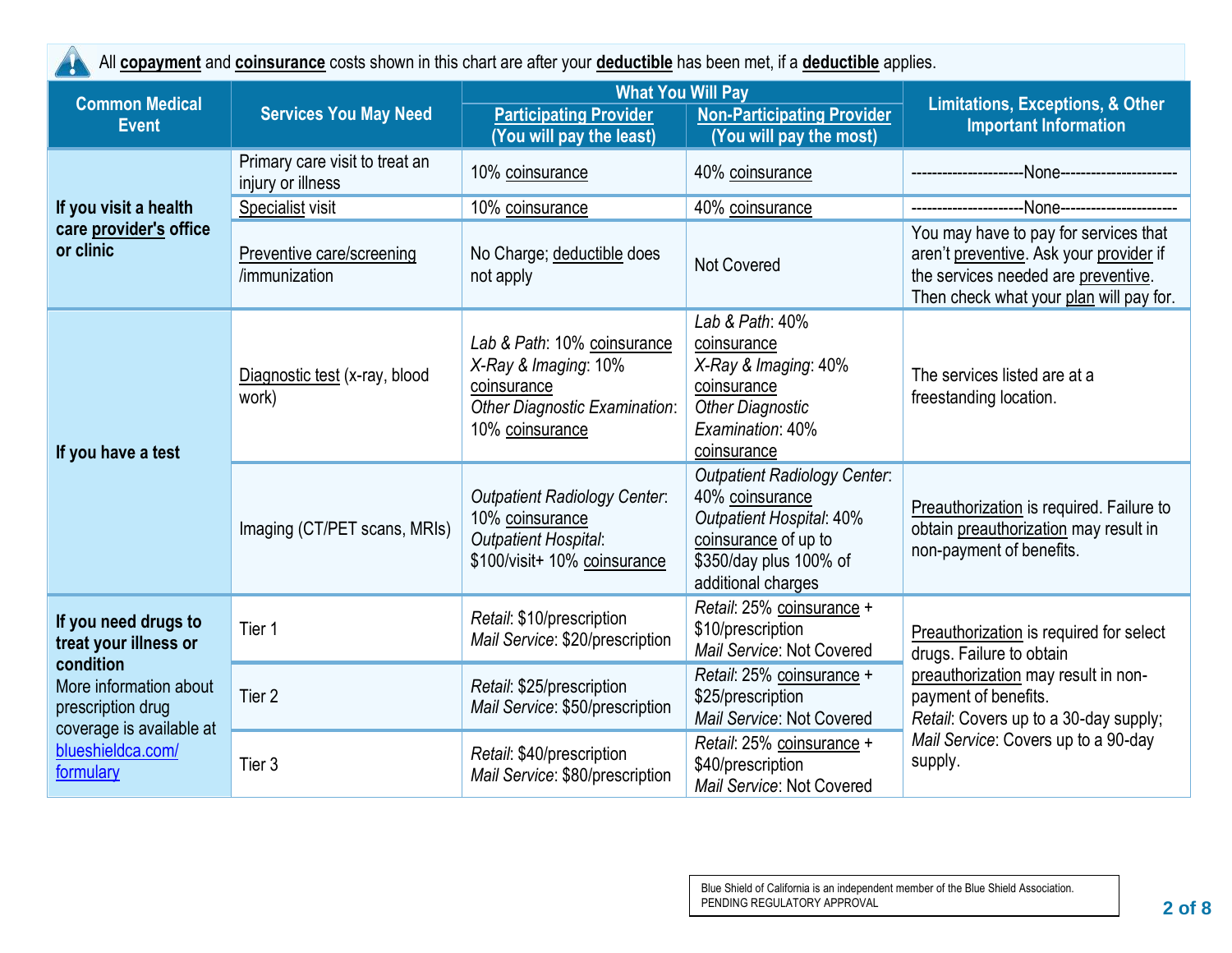| All copayment and coinsurance costs shown in this chart are after your deductible has been met, if a deductible applies. |                                                     |                                                                                                                               |                                                                                                                                                                   |                                                                                                                                                                    |  |
|--------------------------------------------------------------------------------------------------------------------------|-----------------------------------------------------|-------------------------------------------------------------------------------------------------------------------------------|-------------------------------------------------------------------------------------------------------------------------------------------------------------------|--------------------------------------------------------------------------------------------------------------------------------------------------------------------|--|
| <b>Common Medical</b>                                                                                                    | <b>Services You May Need</b>                        | <b>What You Will Pay</b><br><b>Participating Provider</b>                                                                     | <b>Limitations, Exceptions, &amp; Other</b>                                                                                                                       |                                                                                                                                                                    |  |
| <b>Event</b>                                                                                                             |                                                     | (You will pay the least)                                                                                                      | <b>Non-Participating Provider</b><br>(You will pay the most)                                                                                                      | <b>Important Information</b>                                                                                                                                       |  |
|                                                                                                                          | Primary care visit to treat an<br>injury or illness | 10% coinsurance                                                                                                               | 40% coinsurance                                                                                                                                                   | -None----------------------                                                                                                                                        |  |
| If you visit a health                                                                                                    | Specialist visit                                    | 10% coinsurance                                                                                                               | 40% coinsurance                                                                                                                                                   | -None-------------------                                                                                                                                           |  |
| care provider's office<br>or clinic                                                                                      | Preventive care/screening<br>/immunization          | No Charge; deductible does<br>not apply                                                                                       | <b>Not Covered</b>                                                                                                                                                | You may have to pay for services that<br>aren't preventive. Ask your provider if<br>the services needed are preventive.<br>Then check what your plan will pay for. |  |
| If you have a test                                                                                                       | Diagnostic test (x-ray, blood<br>work)              | Lab & Path: 10% coinsurance<br>X-Ray & Imaging: 10%<br>coinsurance<br><b>Other Diagnostic Examination:</b><br>10% coinsurance | Lab & Path: 40%<br>coinsurance<br>X-Ray & Imaging: 40%<br>coinsurance<br><b>Other Diagnostic</b><br>Examination: 40%<br>coinsurance                               | The services listed are at a<br>freestanding location.                                                                                                             |  |
|                                                                                                                          | Imaging (CT/PET scans, MRIs)                        | <b>Outpatient Radiology Center:</b><br>10% coinsurance<br><b>Outpatient Hospital:</b><br>\$100/visit+ 10% coinsurance         | <b>Outpatient Radiology Center:</b><br>40% coinsurance<br><b>Outpatient Hospital: 40%</b><br>coinsurance of up to<br>\$350/day plus 100% of<br>additional charges | Preauthorization is required. Failure to<br>obtain preauthorization may result in<br>non-payment of benefits.                                                      |  |
| If you need drugs to<br>treat your illness or                                                                            | Tier 1                                              | Retail: \$10/prescription<br>Mail Service: \$20/prescription                                                                  | Retail: 25% coinsurance +<br>\$10/prescription<br>Mail Service: Not Covered                                                                                       | Preauthorization is required for select<br>drugs. Failure to obtain                                                                                                |  |
| condition<br>More information about<br>prescription drug<br>coverage is available at<br>blueshieldca.com/<br>formulary   | Tier <sub>2</sub>                                   | Retail: \$25/prescription<br>Mail Service: \$50/prescription                                                                  | Retail: 25% coinsurance +<br>\$25/prescription<br>Mail Service: Not Covered                                                                                       | preauthorization may result in non-<br>payment of benefits.<br>Retail: Covers up to a 30-day supply;                                                               |  |
|                                                                                                                          | Tier 3                                              | Retail: \$40/prescription<br>Mail Service: \$80/prescription                                                                  | Retail: 25% coinsurance +<br>\$40/prescription<br>Mail Service: Not Covered                                                                                       | Mail Service: Covers up to a 90-day<br>supply.                                                                                                                     |  |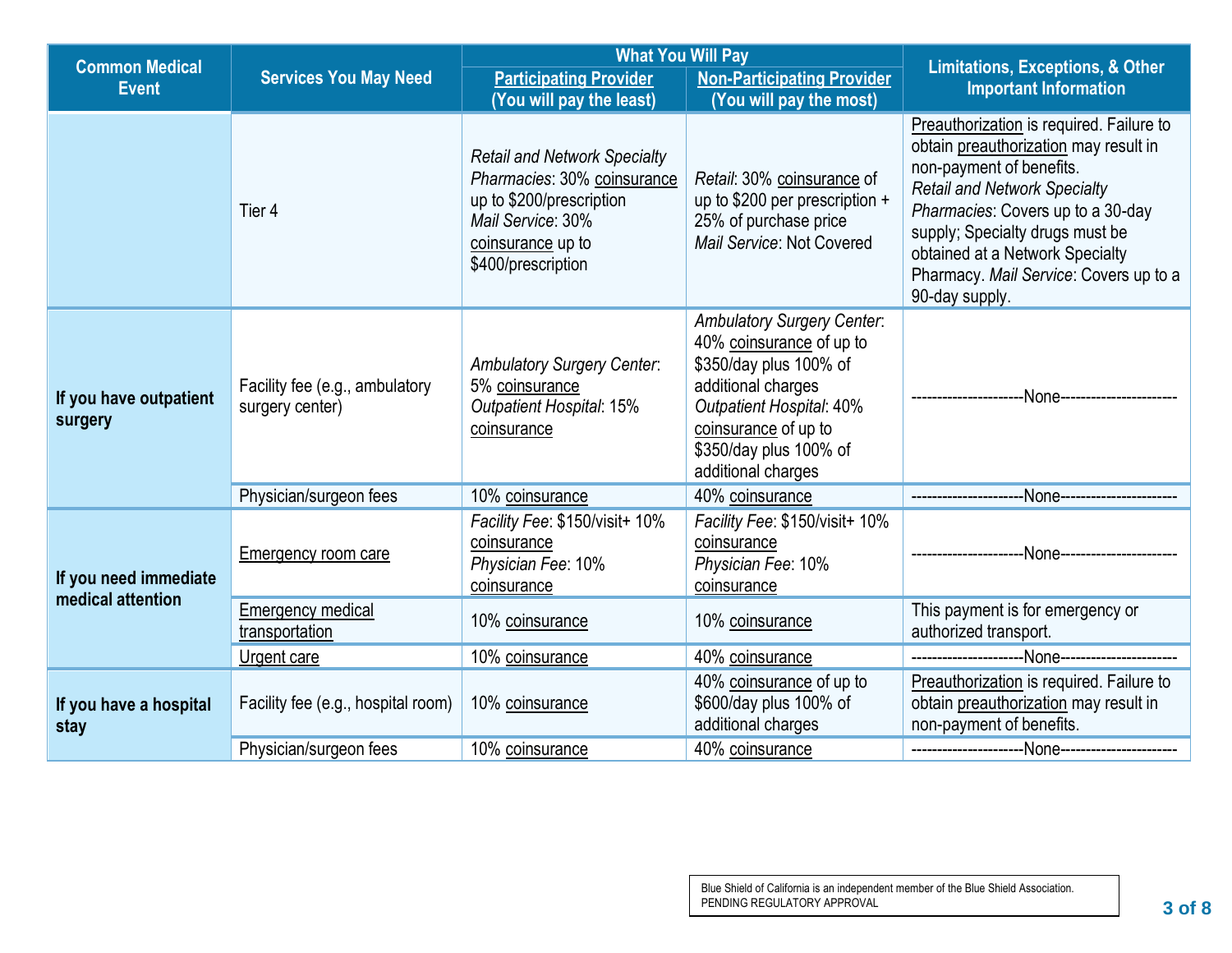| <b>Common Medical</b>                      |                                                   | <b>What You Will Pay</b>                                                                                                                                       |                                                                                                                                                                                                                          | <b>Limitations, Exceptions, &amp; Other</b>                                                                                                                                                                                                                                                                                 |  |
|--------------------------------------------|---------------------------------------------------|----------------------------------------------------------------------------------------------------------------------------------------------------------------|--------------------------------------------------------------------------------------------------------------------------------------------------------------------------------------------------------------------------|-----------------------------------------------------------------------------------------------------------------------------------------------------------------------------------------------------------------------------------------------------------------------------------------------------------------------------|--|
| <b>Event</b>                               | <b>Services You May Need</b>                      | <b>Participating Provider</b><br>(You will pay the least)                                                                                                      | <b>Non-Participating Provider</b><br>(You will pay the most)                                                                                                                                                             | <b>Important Information</b>                                                                                                                                                                                                                                                                                                |  |
|                                            | Tier 4                                            | <b>Retail and Network Specialty</b><br>Pharmacies: 30% coinsurance<br>up to \$200/prescription<br>Mail Service: 30%<br>coinsurance up to<br>\$400/prescription | Retail: 30% coinsurance of<br>up to \$200 per prescription +<br>25% of purchase price<br>Mail Service: Not Covered                                                                                                       | Preauthorization is required. Failure to<br>obtain preauthorization may result in<br>non-payment of benefits.<br><b>Retail and Network Specialty</b><br>Pharmacies: Covers up to a 30-day<br>supply; Specialty drugs must be<br>obtained at a Network Specialty<br>Pharmacy. Mail Service: Covers up to a<br>90-day supply. |  |
| If you have outpatient<br>surgery          | Facility fee (e.g., ambulatory<br>surgery center) | <b>Ambulatory Surgery Center:</b><br>5% coinsurance<br><b>Outpatient Hospital: 15%</b><br>coinsurance                                                          | <b>Ambulatory Surgery Center:</b><br>40% coinsurance of up to<br>\$350/day plus 100% of<br>additional charges<br><b>Outpatient Hospital: 40%</b><br>coinsurance of up to<br>\$350/day plus 100% of<br>additional charges |                                                                                                                                                                                                                                                                                                                             |  |
|                                            | Physician/surgeon fees                            | 10% coinsurance                                                                                                                                                | 40% coinsurance                                                                                                                                                                                                          | ---None------------------                                                                                                                                                                                                                                                                                                   |  |
| If you need immediate<br>medical attention | <b>Emergency room care</b>                        | Facility Fee: \$150/visit+ 10%<br>coinsurance<br>Physician Fee: 10%<br>coinsurance                                                                             | Facility Fee: \$150/visit+ 10%<br>coinsurance<br>Physician Fee: 10%<br>coinsurance                                                                                                                                       |                                                                                                                                                                                                                                                                                                                             |  |
|                                            | <b>Emergency medical</b><br>transportation        | 10% coinsurance                                                                                                                                                | 10% coinsurance                                                                                                                                                                                                          | This payment is for emergency or<br>authorized transport.                                                                                                                                                                                                                                                                   |  |
|                                            | Urgent care                                       | 10% coinsurance                                                                                                                                                | 40% coinsurance                                                                                                                                                                                                          |                                                                                                                                                                                                                                                                                                                             |  |
| If you have a hospital<br>stay             | Facility fee (e.g., hospital room)                | 10% coinsurance                                                                                                                                                | 40% coinsurance of up to<br>\$600/day plus 100% of<br>additional charges                                                                                                                                                 | Preauthorization is required. Failure to<br>obtain preauthorization may result in<br>non-payment of benefits.                                                                                                                                                                                                               |  |
|                                            | Physician/surgeon fees                            | 10% coinsurance                                                                                                                                                | 40% coinsurance                                                                                                                                                                                                          |                                                                                                                                                                                                                                                                                                                             |  |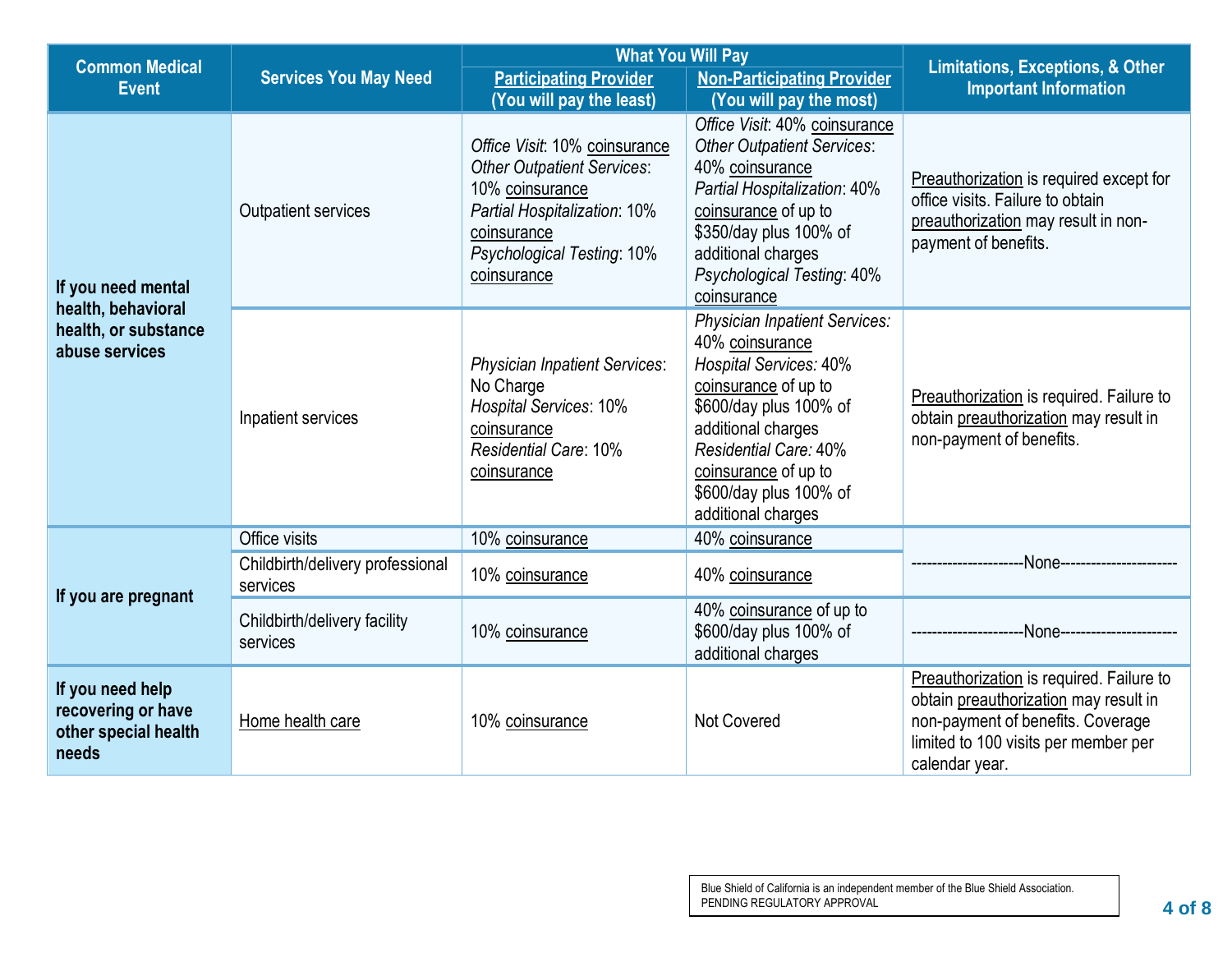| <b>Common Medical</b>                                                   |                                              | <b>What You Will Pay</b>                                                                                                                                                          | <b>Limitations, Exceptions, &amp; Other</b>                                                                                                                                                                                                                       |                                                                                                                                                                                  |
|-------------------------------------------------------------------------|----------------------------------------------|-----------------------------------------------------------------------------------------------------------------------------------------------------------------------------------|-------------------------------------------------------------------------------------------------------------------------------------------------------------------------------------------------------------------------------------------------------------------|----------------------------------------------------------------------------------------------------------------------------------------------------------------------------------|
| <b>Event</b>                                                            | <b>Services You May Need</b>                 | <b>Participating Provider</b>                                                                                                                                                     | <b>Non-Participating Provider</b>                                                                                                                                                                                                                                 | <b>Important Information</b>                                                                                                                                                     |
|                                                                         |                                              | (You will pay the least)                                                                                                                                                          | (You will pay the most)                                                                                                                                                                                                                                           |                                                                                                                                                                                  |
| <b>Outpatient services</b><br>If you need mental                        |                                              | Office Visit: 10% coinsurance<br><b>Other Outpatient Services:</b><br>10% coinsurance<br>Partial Hospitalization: 10%<br>coinsurance<br>Psychological Testing: 10%<br>coinsurance | Office Visit: 40% coinsurance<br><b>Other Outpatient Services:</b><br>40% coinsurance<br>Partial Hospitalization: 40%<br>coinsurance of up to<br>\$350/day plus 100% of<br>additional charges<br>Psychological Testing: 40%<br>coinsurance                        | Preauthorization is required except for<br>office visits. Failure to obtain<br>preauthorization may result in non-<br>payment of benefits.                                       |
| health, behavioral<br>health, or substance<br>abuse services            | Inpatient services                           | <b>Physician Inpatient Services:</b><br>No Charge<br><b>Hospital Services: 10%</b><br>coinsurance<br><b>Residential Care: 10%</b><br>coinsurance                                  | <b>Physician Inpatient Services:</b><br>40% coinsurance<br>Hospital Services: 40%<br>coinsurance of up to<br>\$600/day plus 100% of<br>additional charges<br><b>Residential Care: 40%</b><br>coinsurance of up to<br>\$600/day plus 100% of<br>additional charges | Preauthorization is required. Failure to<br>obtain preauthorization may result in<br>non-payment of benefits.                                                                    |
|                                                                         | Office visits                                | 10% coinsurance                                                                                                                                                                   | 40% coinsurance                                                                                                                                                                                                                                                   |                                                                                                                                                                                  |
| If you are pregnant                                                     | Childbirth/delivery professional<br>services | 10% coinsurance                                                                                                                                                                   | 40% coinsurance                                                                                                                                                                                                                                                   |                                                                                                                                                                                  |
|                                                                         | Childbirth/delivery facility<br>services     | 10% coinsurance                                                                                                                                                                   | 40% coinsurance of up to<br>\$600/day plus 100% of<br>additional charges                                                                                                                                                                                          | -None---------------------                                                                                                                                                       |
| If you need help<br>recovering or have<br>other special health<br>needs | Home health care                             | 10% coinsurance                                                                                                                                                                   | <b>Not Covered</b>                                                                                                                                                                                                                                                | Preauthorization is required. Failure to<br>obtain preauthorization may result in<br>non-payment of benefits. Coverage<br>limited to 100 visits per member per<br>calendar year. |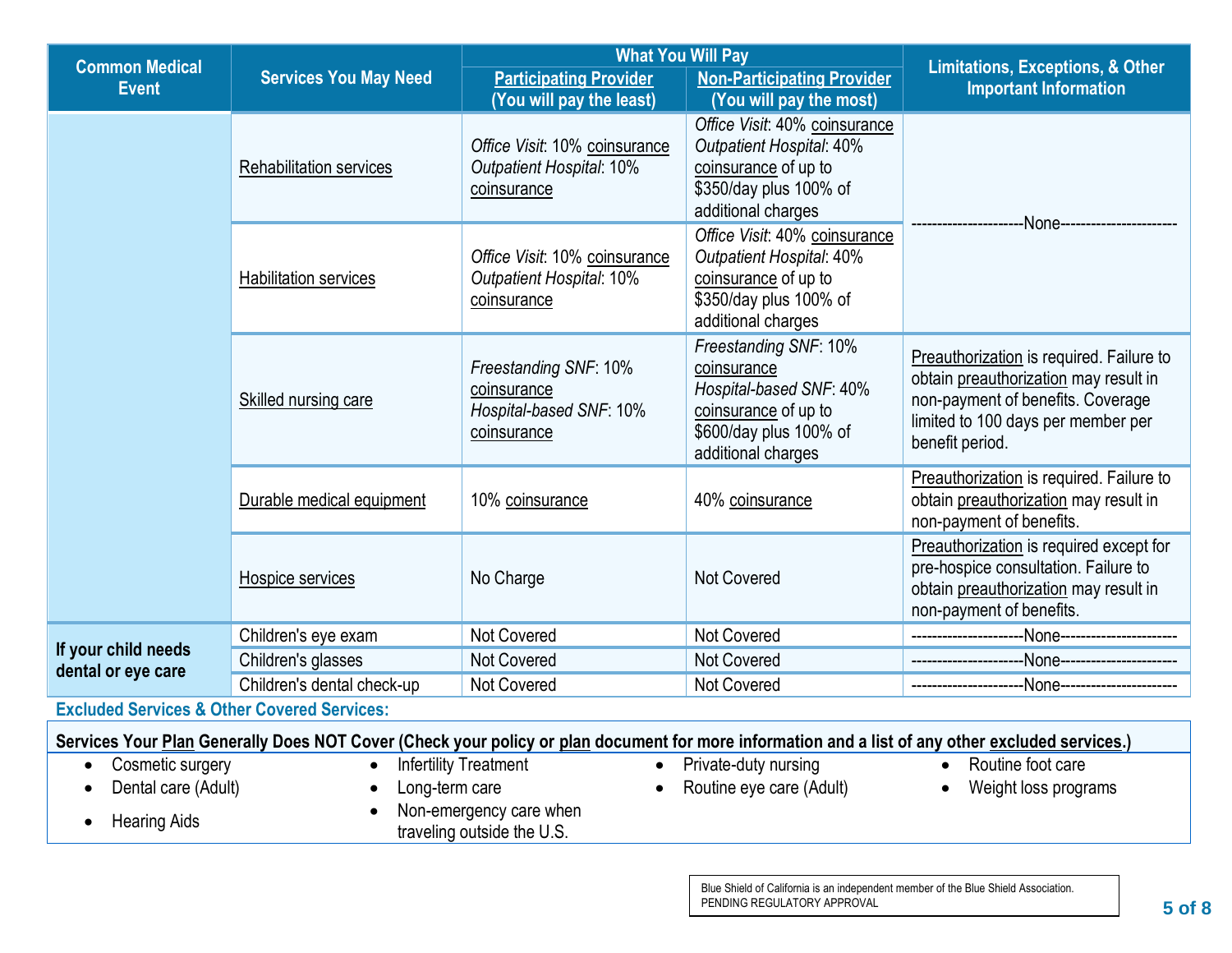| <b>Common Medical</b>                                                                                                                            |                              | <b>What You Will Pay</b>                                                        | <b>Limitations, Exceptions, &amp; Other</b>                                                                                              |                                                                                                                                                                                 |  |
|--------------------------------------------------------------------------------------------------------------------------------------------------|------------------------------|---------------------------------------------------------------------------------|------------------------------------------------------------------------------------------------------------------------------------------|---------------------------------------------------------------------------------------------------------------------------------------------------------------------------------|--|
| <b>Services You May Need</b><br><b>Event</b>                                                                                                     |                              | <b>Participating Provider</b>                                                   | <b>Non-Participating Provider</b>                                                                                                        | <b>Important Information</b>                                                                                                                                                    |  |
|                                                                                                                                                  |                              | (You will pay the least)                                                        | (You will pay the most)                                                                                                                  |                                                                                                                                                                                 |  |
|                                                                                                                                                  | Rehabilitation services      | Office Visit: 10% coinsurance<br><b>Outpatient Hospital: 10%</b><br>coinsurance | Office Visit: 40% coinsurance<br><b>Outpatient Hospital: 40%</b><br>coinsurance of up to<br>\$350/day plus 100% of<br>additional charges | -None----------                                                                                                                                                                 |  |
|                                                                                                                                                  | <b>Habilitation services</b> | Office Visit: 10% coinsurance<br><b>Outpatient Hospital: 10%</b><br>coinsurance | Office Visit: 40% coinsurance<br><b>Outpatient Hospital: 40%</b><br>coinsurance of up to<br>\$350/day plus 100% of<br>additional charges |                                                                                                                                                                                 |  |
|                                                                                                                                                  | Skilled nursing care         | Freestanding SNF: 10%<br>coinsurance<br>Hospital-based SNF: 10%<br>coinsurance  | Freestanding SNF: 10%<br>coinsurance<br>Hospital-based SNF: 40%<br>coinsurance of up to<br>\$600/day plus 100% of<br>additional charges  | Preauthorization is required. Failure to<br>obtain preauthorization may result in<br>non-payment of benefits. Coverage<br>limited to 100 days per member per<br>benefit period. |  |
|                                                                                                                                                  | Durable medical equipment    | 10% coinsurance                                                                 | 40% coinsurance                                                                                                                          | Preauthorization is required. Failure to<br>obtain preauthorization may result in<br>non-payment of benefits.                                                                   |  |
|                                                                                                                                                  | Hospice services             | No Charge                                                                       | Not Covered                                                                                                                              | Preauthorization is required except for<br>pre-hospice consultation. Failure to<br>obtain preauthorization may result in<br>non-payment of benefits.                            |  |
|                                                                                                                                                  | Children's eye exam          | Not Covered                                                                     | Not Covered                                                                                                                              |                                                                                                                                                                                 |  |
| If your child needs<br>dental or eye care                                                                                                        | Children's glasses           | Not Covered                                                                     | Not Covered                                                                                                                              |                                                                                                                                                                                 |  |
|                                                                                                                                                  | Children's dental check-up   | Not Covered                                                                     | <b>Not Covered</b>                                                                                                                       | -None-------------------                                                                                                                                                        |  |
| <b>Excluded Services &amp; Other Covered Services:</b>                                                                                           |                              |                                                                                 |                                                                                                                                          |                                                                                                                                                                                 |  |
| Services Your Plan Generally Does NOT Cover (Check your policy or plan document for more information and a list of any other excluded services.) |                              |                                                                                 |                                                                                                                                          |                                                                                                                                                                                 |  |
| Cosmetic surgery<br>$\bullet$                                                                                                                    | $\bullet$                    | <b>Infertility Treatment</b>                                                    | • Private-duty nursing                                                                                                                   | Routine foot care<br>$\bullet$                                                                                                                                                  |  |
| Dental care (Adult)                                                                                                                              | Long-term care               | $\bullet$                                                                       | Routine eye care (Adult)                                                                                                                 | Weight loss programs<br>$\bullet$                                                                                                                                               |  |
| Non-emergency care when<br><b>Hearing Aids</b><br>$\bullet$<br>traveling outside the U.S.                                                        |                              |                                                                                 |                                                                                                                                          |                                                                                                                                                                                 |  |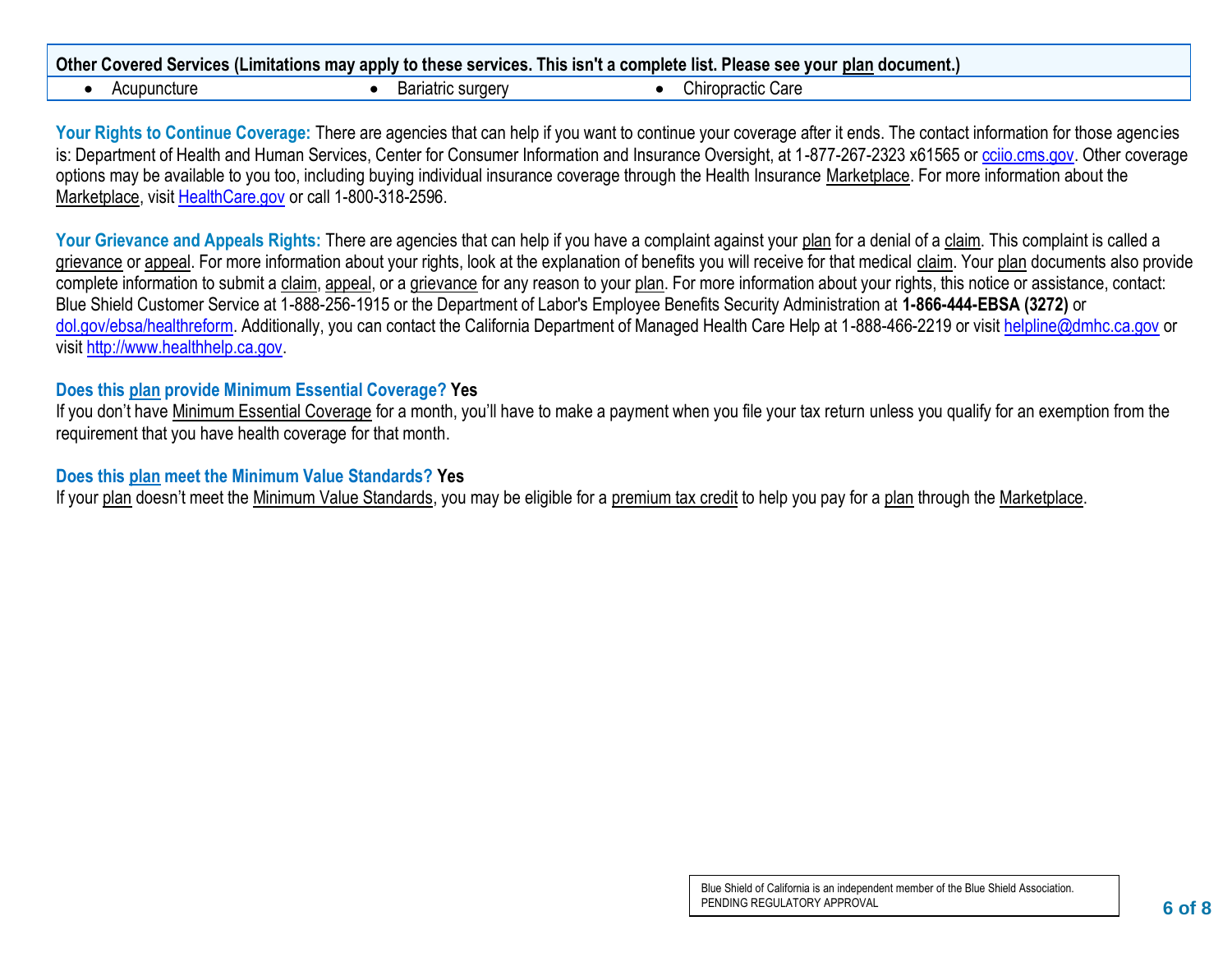|             |                   | Other Covered Services (Limitations may apply to these services. This isn't a complete list. Please see your plan document.) |  |
|-------------|-------------------|------------------------------------------------------------------------------------------------------------------------------|--|
| Acupuncture | Bariatric surgery | Chiropractic Care                                                                                                            |  |

Your Rights to Continue Coverage: There are agencies that can help if you want to continue your coverage after it ends. The contact information for those agencies is: Department of Health and Human Services, Center for Consumer Information and Insurance Oversight, at 1-877-267-2323 x61565 or [cciio.cms.gov.](http://www.cciio.cms.gov/) Other coverage options may be available to you too, including buying individual insurance coverage through the Health Insurance Marketplace. For more information about the Marketplace, visit [HealthCare.gov](http://www.healthcare.gov/) or call 1-800-318-2596.

Your Grievance and Appeals Rights: There are agencies that can help if you have a complaint against your plan for a denial of a claim. This complaint is called a grievance or appeal. For more information about your rights, look at the explanation of benefits you will receive for that medical claim. Your plan documents also provide complete information to submit a claim, appeal, or a grievance for any reason to your plan. For more information about your rights, this notice or assistance, contact: Blue Shield Customer Service at 1-888-256-1915 or the Department of Labor's Employee Benefits Security Administration at **1-866-444-EBSA (3272)** or [dol.gov/ebsa/healthreform.](http://dol.gov/ebsa/healthreform) Additionally, you can contact the California Department of Managed Health Care Help at 1-888-466-2219 or visit [helpline@dmhc.ca.gov](http://mailto:helpline@dmhc.ca.gov) or visi[t http://www.healthhelp.ca.gov.](http://www.healthhelp.ca.gov/)

#### **Does this plan provide Minimum Essential Coverage? Yes**

If you don't have Minimum Essential Coverage for a month, you'll have to make a payment when you file your tax return unless you qualify for an exemption from the requirement that you have health coverage for that month.

#### **Does this plan meet the Minimum Value Standards? Yes**

If your plan doesn't meet the Minimum Value Standards, you may be eligible for a premium tax credit to help you pay for a plan through the Marketplace.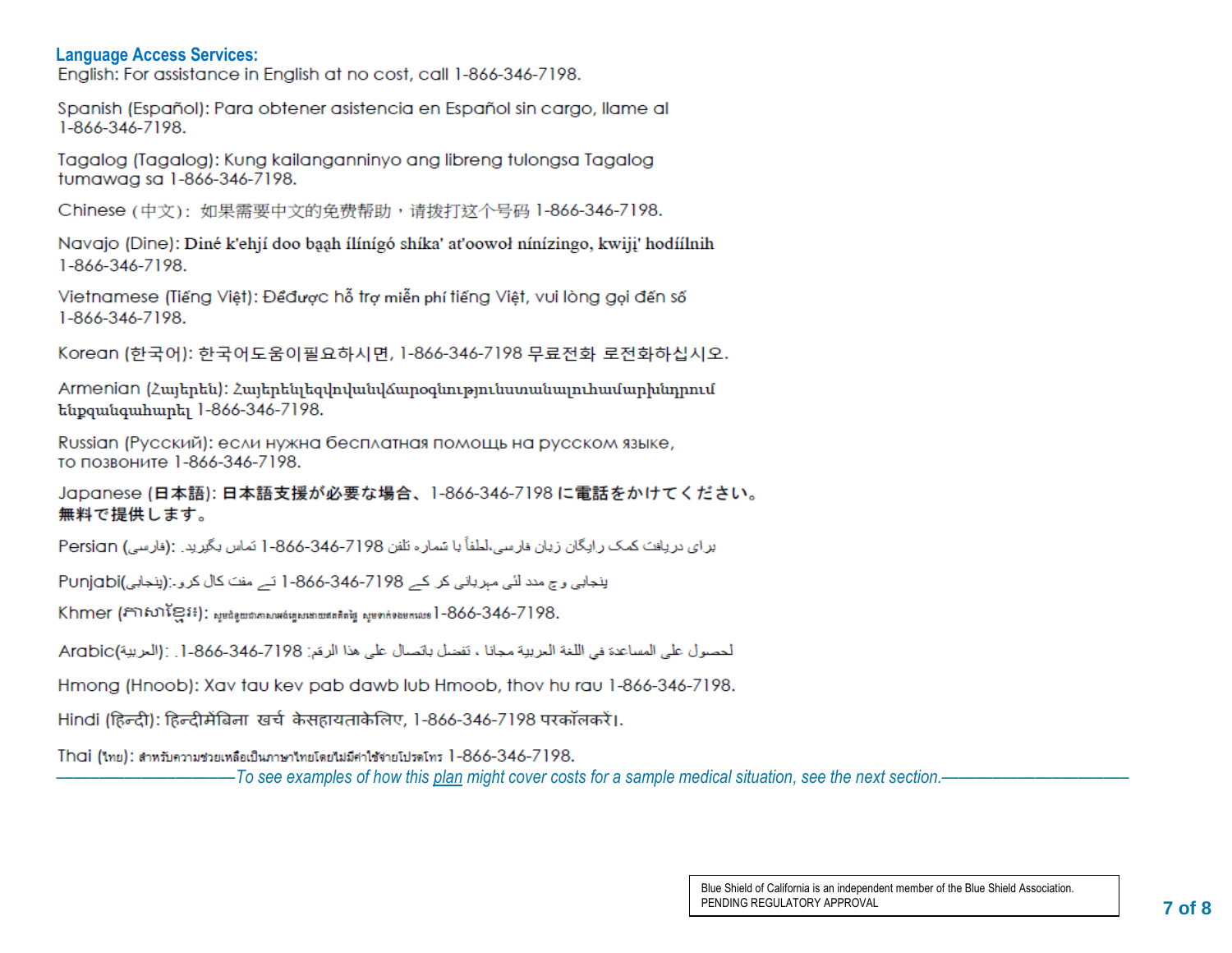**Language Access Services:**

Spanish (Español): Para obtener asistencia en Español sin cargo, llame al 1-866-346-7198.

Tagalog (Tagalog): Kung kailanganninyo ang libreng tulongsa Tagalog tumawag sa 1-866-346-7198.

Chinese (中文): 如果需要中文的免费帮助,请拨打这个号码 1-866-346-7198.

Navajo (Dine): Diné k'ehií doo baah ílínígó shíka' at'oowoł nínízingo, kwiji' hodíílnih 1-866-346-7198.

Vietnamese (Tiếng Việt): Đểđược hỗ trợ miễn phí tiếng Việt, vui lòng gọi đến số 1-866-346-7198.

Korean (한국어): 한국어도움이필요하시면, 1-866-346-7198 무료전화 로전화하십시오.

Armenian (Հայերեն): Հայերենյեզվովանվճարօգնությունստանայուհամարինորում ենքզանգահարել 1-866-346-7198.

Russian (Русский): если нужна бесплатная помощь на русском языке, то позвоните 1-866-346-7198.

Japanese (日本語): 日本語支援が必要な場合、1-866-346-7198 に電話をかけてください。 無料で提供します。

براي دريافت كمك رايگان زيان فارسي،لطفاً با شماره تلفن 7198-866-846-1 نماس بگيريد. :(فارسي) Persign

ينجابي وج مدد لئي مهرياني كر كے 7198-346-866-1 نے مفت كال كرو۔:(ينجابي)Punjabi

Khmer (กาณาเย็ง:); ญษติดุเขตภาคณะตินตุษาตรกระที่สุด ญชาก่อลยคนอะ 1-866-346-7198.

لحصول على المساعدة في اللغة العربية مجانا ، تفضل باتصال على هذا الرقم: 7198-346-346. [. : (العربية) Arabic

Hmong (Hnoob): Xav tau kev pab dawb lub Hmoob, thov hu rau 1-866-346-7198.

Hindi (हिन्दी): हिन्दीमेंबिना खर्च केसहायताकेलिए, 1-866-346-7198 परकॉलकरें।.

Thai (ไทย): สำหรับความช่วยเหลือเป็นภาษาไทยโดยไม่มีค่าใช้จ่ายโปรดโทร 1-866-346-7198.

–––––––––––––––––––––*To see examples of how this plan might cover costs for a sample medical situation, see the next section.–––––––––––*–––––––––––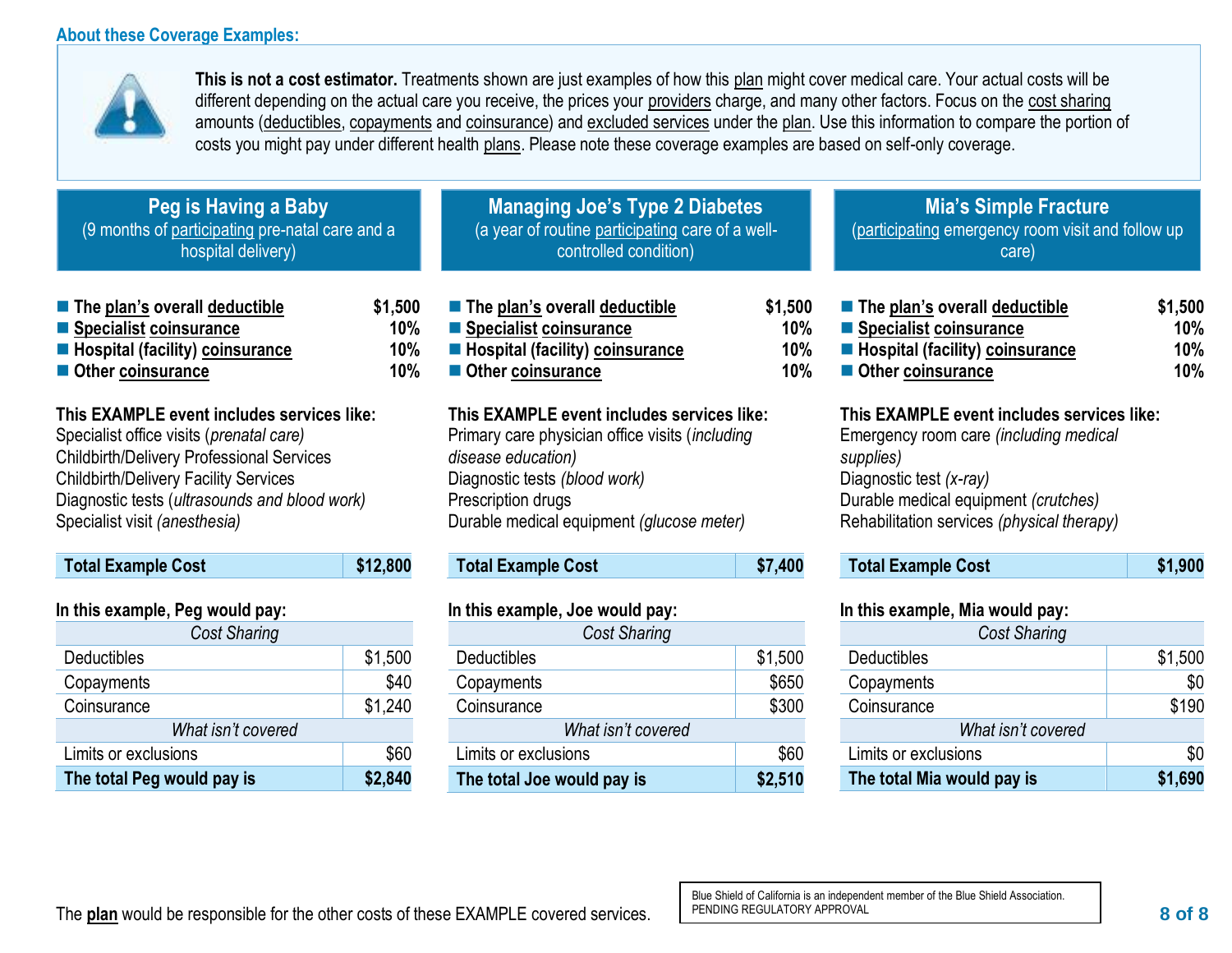#### **About these Coverage Examples:**

**Total Example Cost \$12,800** 

*Cost Sharing* Deductibles \$1,500 Copayments \$40 Coinsurance \$1,240 *What isn't covered* Limits or exclusions the substitution of the state state state state state state state state state state state **The total Peg would pay is \$2,840**

**In this example, Peg would pay:**



**This is not a cost estimator.** Treatments shown are just examples of how this plan might cover medical care. Your actual costs will be different depending on the actual care you receive, the prices your providers charge, and many other factors. Focus on the cost sharing amounts (deductibles, copayments and coinsurance) and excluded services under the plan. Use this information to compare the portion of costs you might pay under different health plans. Please note these coverage examples are based on self-only coverage.

**Total Example Cost \$7,400** 

*Cost Sharing* Deductibles \$1,500 Copayments \$650 Coinsurance \$300 *What isn't covered* Limits or exclusions **\$60 The total Joe would pay is \$2,510**

| Peg is Having a Baby<br>(9 months of participating pre-natal care and a<br>hospital delivery)                                                                                                                                                                                         |                                 | <b>Managing Joe's Type 2 Diabetes</b><br>(a year of routine participating care of a well-<br>controlled condition)                                                                                                      |                                 | <b>Mia's Simple Fracture</b><br>(participating emergency room visit and follow up<br>care)                                                                                                                         |                              |
|---------------------------------------------------------------------------------------------------------------------------------------------------------------------------------------------------------------------------------------------------------------------------------------|---------------------------------|-------------------------------------------------------------------------------------------------------------------------------------------------------------------------------------------------------------------------|---------------------------------|--------------------------------------------------------------------------------------------------------------------------------------------------------------------------------------------------------------------|------------------------------|
| $\blacksquare$ The plan's overall deductible<br>■ Specialist coinsurance<br><b>Hospital (facility) coinsurance</b><br>Other coinsurance                                                                                                                                               | \$1,500<br>$10\%$<br>10%<br>10% | $\blacksquare$ The plan's overall deductible<br>■ Specialist coinsurance<br>Hospital (facility) coinsurance<br>Other coinsurance                                                                                        | \$1,500<br>10%<br>10%<br>$10\%$ | $\blacksquare$ The plan's overall deductible<br>■ Specialist coinsurance<br>■ Hospital (facility) coinsurance<br>Other coinsurance                                                                                 | \$1,500<br>10%<br>10%<br>10% |
| This EXAMPLE event includes services like:<br>Specialist office visits ( <i>prenatal care</i> )<br><b>Childbirth/Delivery Professional Services</b><br><b>Childbirth/Delivery Facility Services</b><br>Diagnostic tests (ultrasounds and blood work)<br>Specialist visit (anesthesia) |                                 | This EXAMPLE event includes services like:<br>Primary care physician office visits (including<br>disease education)<br>Diagnostic tests (blood work)<br>Prescription drugs<br>Durable medical equipment (glucose meter) |                                 | This EXAMPLE event includes services like:<br>Emergency room care (including medical<br>supplies)<br>Diagnostic test (x-ray)<br>Durable medical equipment (crutches)<br>Rehabilitation services (physical therapy) |                              |

**In this example, Joe would pay:**

| <b>Total Example Cost</b> | \$1,900 |
|---------------------------|---------|
|---------------------------|---------|

#### **In this example, Mia would pay:**

| <b>Cost Sharing</b>        |         |  |  |
|----------------------------|---------|--|--|
| Deductibles                | \$1,500 |  |  |
| Copayments                 | \$0     |  |  |
| Coinsurance                | \$190   |  |  |
| What isn't covered         |         |  |  |
| Limits or exclusions       | \$0     |  |  |
| The total Mia would pay is | \$1,690 |  |  |

Blue Shield of California is an independent member of the Blue Shield Association. PENDING REGULATORY APPROVAL